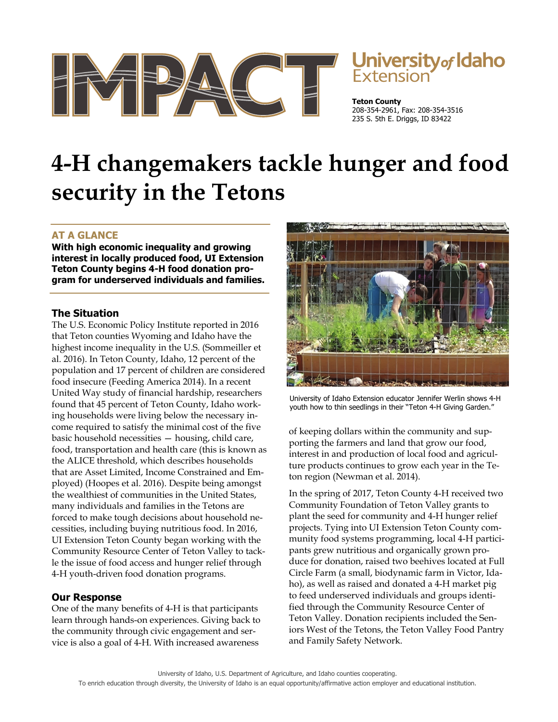

# Jniversity<sub>of</sub> Idaho

**Teton County** 208-354-2961, Fax: 208-354-3516 235 S. 5th E. Driggs, ID 83422

# **4-H changemakers tackle hunger and food security in the Tetons**

# **AT A GLANCE**

**With high economic inequality and growing interest in locally produced food, UI Extension Teton County begins 4-H food donation program for underserved individuals and families.** 

### **The Situation**

The U.S. Economic Policy Institute reported in 2016 that Teton counties Wyoming and Idaho have the highest income inequality in the U.S. (Sommeiller et al. 2016). In Teton County, Idaho, 12 percent of the population and 17 percent of children are considered food insecure (Feeding America 2014). In a recent United Way study of financial hardship, researchers found that 45 percent of Teton County, Idaho working households were living below the necessary income required to satisfy the minimal cost of the five basic household necessities — housing, child care, food, transportation and health care (this is known as the ALICE threshold, which describes households that are Asset Limited, Income Constrained and Employed) (Hoopes et al. 2016). Despite being amongst the wealthiest of communities in the United States, many individuals and families in the Tetons are forced to make tough decisions about household necessities, including buying nutritious food. In 2016, UI Extension Teton County began working with the Community Resource Center of Teton Valley to tackle the issue of food access and hunger relief through 4-H youth-driven food donation programs.

# **Our Response**

One of the many benefits of 4-H is that participants learn through hands-on experiences. Giving back to the community through civic engagement and service is also a goal of 4-H. With increased awareness



University of Idaho Extension educator Jennifer Werlin shows 4-H youth how to thin seedlings in their "Teton 4-H Giving Garden."

of keeping dollars within the community and supporting the farmers and land that grow our food, interest in and production of local food and agriculture products continues to grow each year in the Teton region (Newman et al. 2014).

In the spring of 2017, Teton County 4-H received two Community Foundation of Teton Valley grants to plant the seed for community and 4-H hunger relief projects. Tying into UI Extension Teton County community food systems programming, local 4-H participants grew nutritious and organically grown produce for donation, raised two beehives located at Full Circle Farm (a small, biodynamic farm in Victor, Idaho), as well as raised and donated a 4-H market pig to feed underserved individuals and groups identified through the Community Resource Center of Teton Valley. Donation recipients included the Seniors West of the Tetons, the Teton Valley Food Pantry and Family Safety Network.